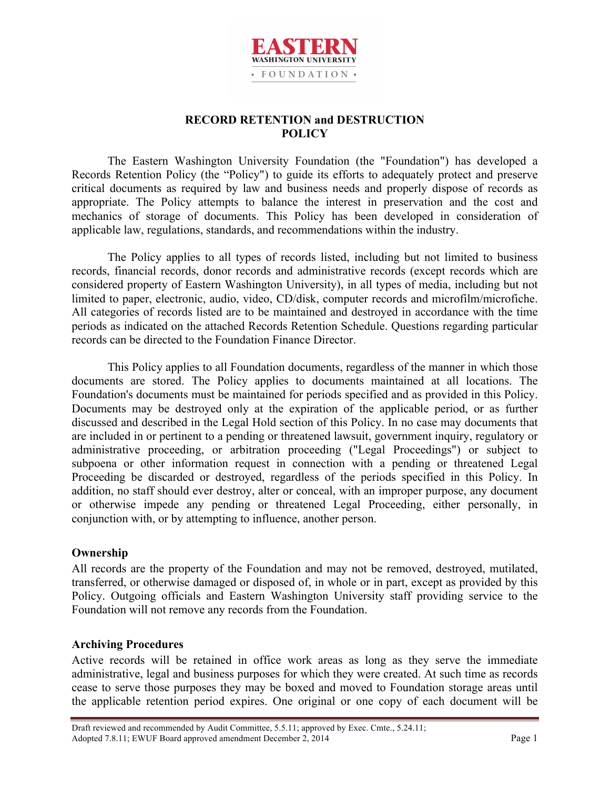

# **RECORD RETENTION and DESTRUCTION POLICY**

The Eastern Washington University Foundation (the "Foundation") has developed a Records Retention Policy (the "Policy") to guide its efforts to adequately protect and preserve critical documents as required by law and business needs and properly dispose of records as appropriate. The Policy attempts to balance the interest in preservation and the cost and mechanics of storage of documents. This Policy has been developed in consideration of applicable law, regulations, standards, and recommendations within the industry.

The Policy applies to all types of records listed, including but not limited to business records, financial records, donor records and administrative records (except records which are considered property of Eastern Washington University), in all types of media, including but not limited to paper, electronic, audio, video, CD/disk, computer records and microfilm/microfiche. All categories of records listed are to be maintained and destroyed in accordance with the time periods as indicated on the attached Records Retention Schedule. Questions regarding particular records can be directed to the Foundation Finance Director.

This Policy applies to all Foundation documents, regardless of the manner in which those documents are stored. The Policy applies to documents maintained at all locations. The Foundation's documents must be maintained for periods specified and as provided in this Policy. Documents may be destroyed only at the expiration of the applicable period, or as further discussed and described in the Legal Hold section of this Policy. In no case may documents that are included in or pertinent to a pending or threatened lawsuit, government inquiry, regulatory or administrative proceeding, or arbitration proceeding ("Legal Proceedings") or subject to subpoena or other information request in connection with a pending or threatened Legal Proceeding be discarded or destroyed, regardless of the periods specified in this Policy. In addition, no staff should ever destroy, alter or conceal, with an improper purpose, any document or otherwise impede any pending or threatened Legal Proceeding, either personally, in conjunction with, or by attempting to influence, another person.

## **Ownership**

All records are the property of the Foundation and may not be removed, destroyed, mutilated, transferred, or otherwise damaged or disposed of, in whole or in part, except as provided by this Policy. Outgoing officials and Eastern Washington University staff providing service to the Foundation will not remove any records from the Foundation.

## **Archiving Procedures**

Active records will be retained in office work areas as long as they serve the immediate administrative, legal and business purposes for which they were created. At such time as records cease to serve those purposes they may be boxed and moved to Foundation storage areas until the applicable retention period expires. One original or one copy of each document will be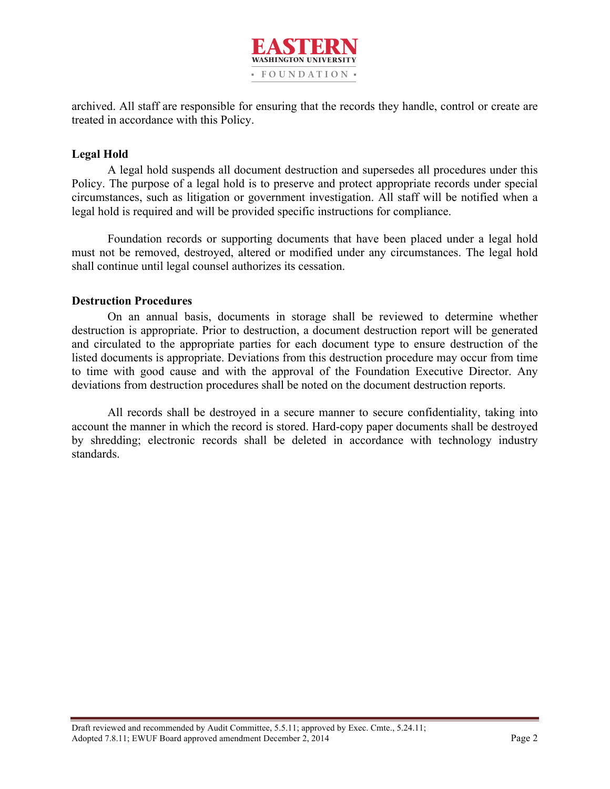

archived. All staff are responsible for ensuring that the records they handle, control or create are treated in accordance with this Policy.

## **Legal Hold**

A legal hold suspends all document destruction and supersedes all procedures under this Policy. The purpose of a legal hold is to preserve and protect appropriate records under special circumstances, such as litigation or government investigation. All staff will be notified when a legal hold is required and will be provided specific instructions for compliance.

Foundation records or supporting documents that have been placed under a legal hold must not be removed, destroyed, altered or modified under any circumstances. The legal hold shall continue until legal counsel authorizes its cessation.

## **Destruction Procedures**

On an annual basis, documents in storage shall be reviewed to determine whether destruction is appropriate. Prior to destruction, a document destruction report will be generated and circulated to the appropriate parties for each document type to ensure destruction of the listed documents is appropriate. Deviations from this destruction procedure may occur from time to time with good cause and with the approval of the Foundation Executive Director. Any deviations from destruction procedures shall be noted on the document destruction reports.

All records shall be destroyed in a secure manner to secure confidentiality, taking into account the manner in which the record is stored. Hard-copy paper documents shall be destroyed by shredding; electronic records shall be deleted in accordance with technology industry standards.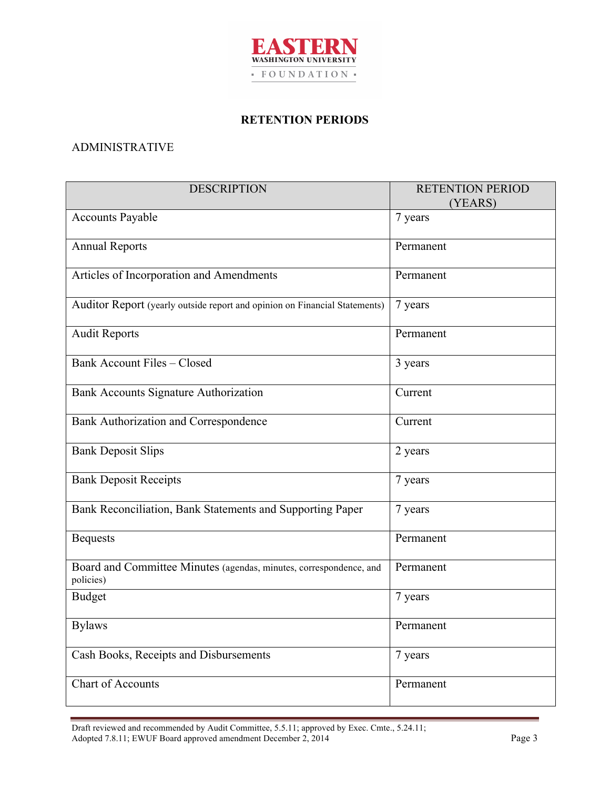

#### **RETENTION PERIODS**

## ADMINISTRATIVE

| <b>DESCRIPTION</b>                                                              | <b>RETENTION PERIOD</b><br>(YEARS) |
|---------------------------------------------------------------------------------|------------------------------------|
| <b>Accounts Payable</b>                                                         | 7 years                            |
| <b>Annual Reports</b>                                                           | Permanent                          |
| Articles of Incorporation and Amendments                                        | Permanent                          |
| Auditor Report (yearly outside report and opinion on Financial Statements)      | 7 years                            |
| <b>Audit Reports</b>                                                            | Permanent                          |
| <b>Bank Account Files - Closed</b>                                              | 3 years                            |
| Bank Accounts Signature Authorization                                           | Current                            |
| Bank Authorization and Correspondence                                           | Current                            |
| <b>Bank Deposit Slips</b>                                                       | 2 years                            |
| <b>Bank Deposit Receipts</b>                                                    | 7 years                            |
| Bank Reconciliation, Bank Statements and Supporting Paper                       | 7 years                            |
| <b>Bequests</b>                                                                 | Permanent                          |
| Board and Committee Minutes (agendas, minutes, correspondence, and<br>policies) | Permanent                          |
| <b>Budget</b>                                                                   | 7 years                            |
| <b>Bylaws</b>                                                                   | Permanent                          |
| Cash Books, Receipts and Disbursements                                          | 7 years                            |
| Chart of Accounts                                                               | Permanent                          |

Draft reviewed and recommended by Audit Committee, 5.5.11; approved by Exec. Cmte., 5.24.11; Adopted 7.8.11; EWUF Board approved amendment December 2, 2014 Page 3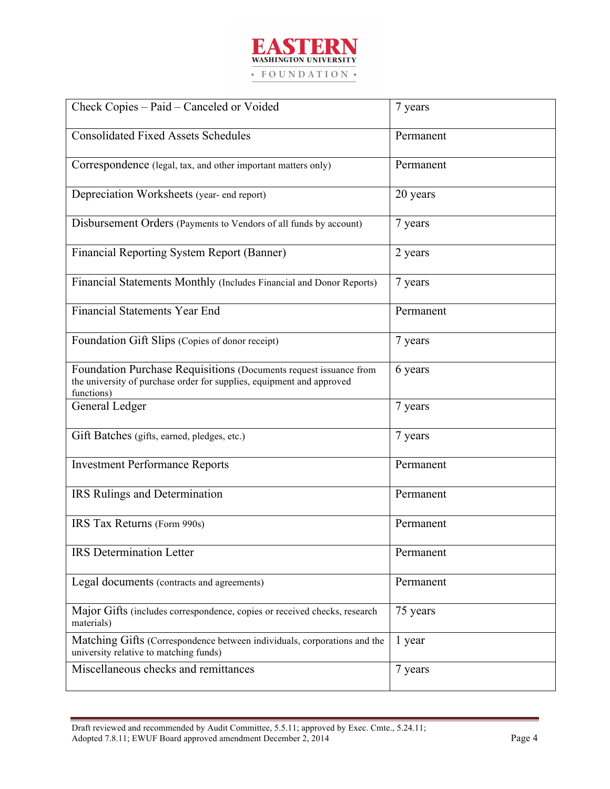

| Check Copies - Paid - Canceled or Voided                                                                                                                 | 7 years   |
|----------------------------------------------------------------------------------------------------------------------------------------------------------|-----------|
| <b>Consolidated Fixed Assets Schedules</b>                                                                                                               | Permanent |
| Correspondence (legal, tax, and other important matters only)                                                                                            | Permanent |
| Depreciation Worksheets (year- end report)                                                                                                               | 20 years  |
| Disbursement Orders (Payments to Vendors of all funds by account)                                                                                        | 7 years   |
| Financial Reporting System Report (Banner)                                                                                                               | 2 years   |
| Financial Statements Monthly (Includes Financial and Donor Reports)                                                                                      | 7 years   |
| <b>Financial Statements Year End</b>                                                                                                                     | Permanent |
| Foundation Gift Slips (Copies of donor receipt)                                                                                                          | 7 years   |
| Foundation Purchase Requisitions (Documents request issuance from<br>the university of purchase order for supplies, equipment and approved<br>functions) | 6 years   |
| General Ledger                                                                                                                                           | 7 years   |
| Gift Batches (gifts, earned, pledges, etc.)                                                                                                              | 7 years   |
| <b>Investment Performance Reports</b>                                                                                                                    | Permanent |
| IRS Rulings and Determination                                                                                                                            | Permanent |
| IRS Tax Returns (Form 990s)                                                                                                                              | Permanent |
| <b>IRS</b> Determination Letter                                                                                                                          | Permanent |
| Legal documents (contracts and agreements)                                                                                                               | Permanent |
| Major Gifts (includes correspondence, copies or received checks, research<br>materials)                                                                  | 75 years  |
| Matching Gifts (Correspondence between individuals, corporations and the<br>university relative to matching funds)                                       | 1 year    |
| Miscellaneous checks and remittances                                                                                                                     | 7 years   |

Draft reviewed and recommended by Audit Committee, 5.5.11; approved by Exec. Cmte., 5.24.11; Adopted 7.8.11; EWUF Board approved amendment December 2, 2014 Page 4